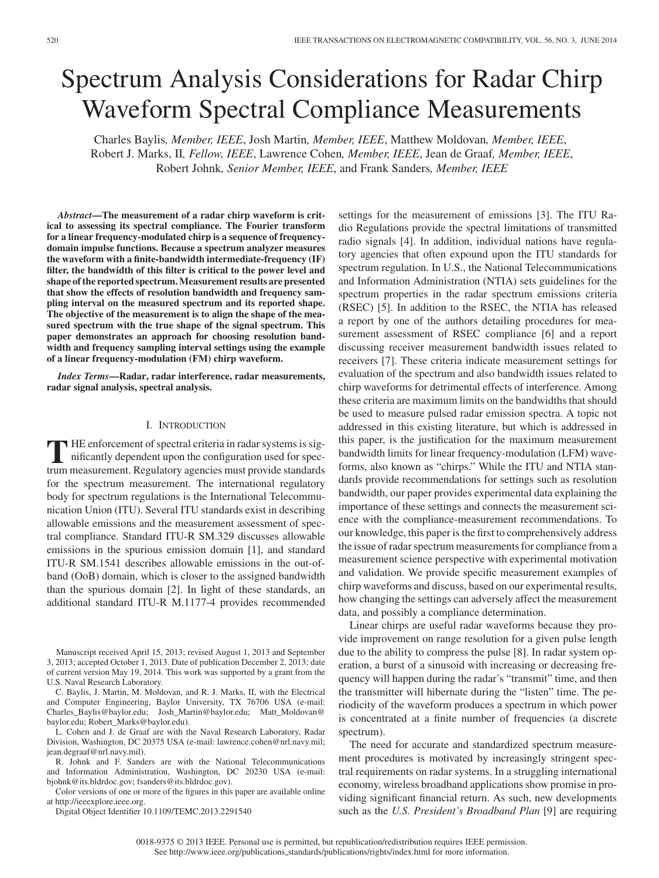# Spectrum Analysis Considerations for Radar Chirp Waveform Spectral Compliance Measurements

Charles Baylis*, Member, IEEE*, Josh Martin*, Member, IEEE*, Matthew Moldovan*, Member, IEEE*, Robert J. Marks, II*, Fellow, IEEE*, Lawrence Cohen*, Member, IEEE*, Jean de Graaf*, Member, IEEE*, Robert Johnk*, Senior Member, IEEE*, and Frank Sanders*, Member, IEEE*

*Abstract***—The measurement of a radar chirp waveform is critical to assessing its spectral compliance. The Fourier transform for a linear frequency-modulated chirp is a sequence of frequencydomain impulse functions. Because a spectrum analyzer measures the waveform with a finite-bandwidth intermediate-frequency (IF) filter, the bandwidth of this filter is critical to the power level and shape of the reported spectrum. Measurement results are presented that show the effects of resolution bandwidth and frequency sampling interval on the measured spectrum and its reported shape. The objective of the measurement is to align the shape of the measured spectrum with the true shape of the signal spectrum. This paper demonstrates an approach for choosing resolution bandwidth and frequency sampling interval settings using the example of a linear frequency-modulation (FM) chirp waveform.**

*Index Terms***—Radar, radar interference, radar measurements, radar signal analysis, spectral analysis.**

# I. INTRODUCTION

TT HE enforcement of spectral criteria in radar systems is sig-<br>
nificantly dependent upon the configuration used for spec-<br>
trum measurement. Beculatory agencies must provide standards trum measurement. Regulatory agencies must provide standards for the spectrum measurement. The international regulatory body for spectrum regulations is the International Telecommunication Union (ITU). Several ITU standards exist in describing allowable emissions and the measurement assessment of spectral compliance. Standard ITU-R SM.329 discusses allowable emissions in the spurious emission domain [1], and standard ITU-R SM.1541 describes allowable emissions in the out-ofband (OoB) domain, which is closer to the assigned bandwidth than the spurious domain [2]. In light of these standards, an additional standard ITU-R M.1177-4 provides recommended

Manuscript received April 15, 2013; revised August 1, 2013 and September 3, 2013; accepted October 1, 2013. Date of publication December 2, 2013; date of current version May 19, 2014. This work was supported by a grant from the U.S. Naval Research Laboratory.

C. Baylis, J. Martin, M. Moldovan, and R. J. Marks, II, with the Electrical and Computer Engineering, Baylor University, TX 76706 USA (e-mail: Charles\_Baylis@baylor.edu; Josh\_Martin@baylor.edu; Matt\_Moldovan@ baylor.edu; Robert\_Marks@baylor.edu).

L. Cohen and J. de Graaf are with the Naval Research Laboratory, Radar Division, Washington, DC 20375 USA (e-mail: lawrence.cohen@nrl.navy.mil; jean.degraaf@nrl.navy.mil).

R. Johnk and F. Sanders are with the National Telecommunications and Information Administration, Washington, DC 20230 USA (e-mail: bjohnk@its.bldrdoc.gov; fsanders@its.bldrdoc.gov).

Color versions of one or more of the figures in this paper are available online at http://ieeexplore.ieee.org.

Digital Object Identifier 10.1109/TEMC.2013.2291540

settings for the measurement of emissions [3]. The ITU Radio Regulations provide the spectral limitations of transmitted radio signals [4]. In addition, individual nations have regulatory agencies that often expound upon the ITU standards for spectrum regulation. In U.S., the National Telecommunications and Information Administration (NTIA) sets guidelines for the spectrum properties in the radar spectrum emissions criteria (RSEC) [5]. In addition to the RSEC, the NTIA has released a report by one of the authors detailing procedures for measurement assessment of RSEC compliance [6] and a report discussing receiver measurement bandwidth issues related to receivers [7]. These criteria indicate measurement settings for evaluation of the spectrum and also bandwidth issues related to chirp waveforms for detrimental effects of interference. Among these criteria are maximum limits on the bandwidths that should be used to measure pulsed radar emission spectra. A topic not addressed in this existing literature, but which is addressed in this paper, is the justification for the maximum measurement bandwidth limits for linear frequency-modulation (LFM) waveforms, also known as "chirps." While the ITU and NTIA standards provide recommendations for settings such as resolution bandwidth, our paper provides experimental data explaining the importance of these settings and connects the measurement science with the compliance-measurement recommendations. To our knowledge, this paper is the first to comprehensively address the issue of radar spectrum measurements for compliance from a measurement science perspective with experimental motivation and validation. We provide specific measurement examples of chirp waveforms and discuss, based on our experimental results, how changing the settings can adversely affect the measurement data, and possibly a compliance determination.

Linear chirps are useful radar waveforms because they provide improvement on range resolution for a given pulse length due to the ability to compress the pulse [8]. In radar system operation, a burst of a sinusoid with increasing or decreasing frequency will happen during the radar's "transmit" time, and then the transmitter will hibernate during the "listen" time. The periodicity of the waveform produces a spectrum in which power is concentrated at a finite number of frequencies (a discrete spectrum).

The need for accurate and standardized spectrum measurement procedures is motivated by increasingly stringent spectral requirements on radar systems. In a struggling international economy, wireless broadband applications show promise in providing significant financial return. As such, new developments such as the *U.S. President's Broadband Plan* [9] are requiring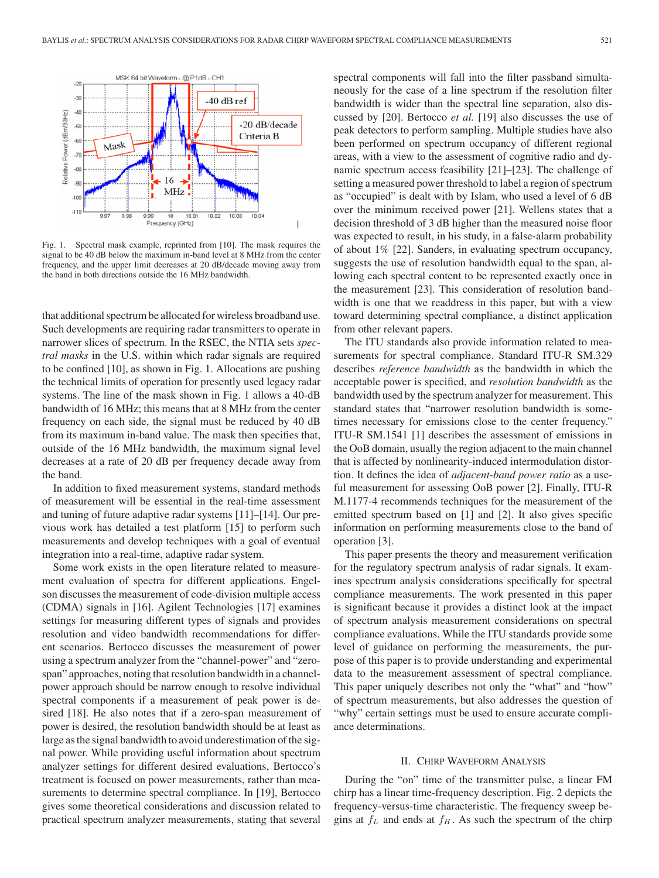

Fig. 1. Spectral mask example, reprinted from [10]. The mask requires the signal to be 40 dB below the maximum in-band level at 8 MHz from the center frequency, and the upper limit decreases at 20 dB/decade moving away from the band in both directions outside the 16 MHz bandwidth.

that additional spectrum be allocated for wireless broadband use. Such developments are requiring radar transmitters to operate in narrower slices of spectrum. In the RSEC, the NTIA sets *spectral masks* in the U.S. within which radar signals are required to be confined [10], as shown in Fig. 1. Allocations are pushing the technical limits of operation for presently used legacy radar systems. The line of the mask shown in Fig. 1 allows a 40-dB bandwidth of 16 MHz; this means that at 8 MHz from the center frequency on each side, the signal must be reduced by 40 dB from its maximum in-band value. The mask then specifies that, outside of the 16 MHz bandwidth, the maximum signal level decreases at a rate of 20 dB per frequency decade away from the band.

In addition to fixed measurement systems, standard methods of measurement will be essential in the real-time assessment and tuning of future adaptive radar systems [11]–[14]. Our previous work has detailed a test platform [15] to perform such measurements and develop techniques with a goal of eventual integration into a real-time, adaptive radar system.

Some work exists in the open literature related to measurement evaluation of spectra for different applications. Engelson discusses the measurement of code-division multiple access (CDMA) signals in [16]. Agilent Technologies [17] examines settings for measuring different types of signals and provides resolution and video bandwidth recommendations for different scenarios. Bertocco discusses the measurement of power using a spectrum analyzer from the "channel-power" and "zerospan" approaches, noting that resolution bandwidth in a channelpower approach should be narrow enough to resolve individual spectral components if a measurement of peak power is desired [18]. He also notes that if a zero-span measurement of power is desired, the resolution bandwidth should be at least as large as the signal bandwidth to avoid underestimation of the signal power. While providing useful information about spectrum analyzer settings for different desired evaluations, Bertocco's treatment is focused on power measurements, rather than measurements to determine spectral compliance. In [19], Bertocco gives some theoretical considerations and discussion related to practical spectrum analyzer measurements, stating that several

spectral components will fall into the filter passband simultaneously for the case of a line spectrum if the resolution filter bandwidth is wider than the spectral line separation, also discussed by [20]. Bertocco *et al.* [19] also discusses the use of peak detectors to perform sampling. Multiple studies have also been performed on spectrum occupancy of different regional areas, with a view to the assessment of cognitive radio and dynamic spectrum access feasibility [21]–[23]. The challenge of setting a measured power threshold to label a region of spectrum as "occupied" is dealt with by Islam, who used a level of 6 dB over the minimum received power [21]. Wellens states that a decision threshold of 3 dB higher than the measured noise floor was expected to result, in his study, in a false-alarm probability of about 1% [22]. Sanders, in evaluating spectrum occupancy, suggests the use of resolution bandwidth equal to the span, allowing each spectral content to be represented exactly once in the measurement [23]. This consideration of resolution bandwidth is one that we readdress in this paper, but with a view toward determining spectral compliance, a distinct application from other relevant papers.

The ITU standards also provide information related to measurements for spectral compliance. Standard ITU-R SM.329 describes *reference bandwidth* as the bandwidth in which the acceptable power is specified, and *resolution bandwidth* as the bandwidth used by the spectrum analyzer for measurement. This standard states that "narrower resolution bandwidth is sometimes necessary for emissions close to the center frequency." ITU-R SM.1541 [1] describes the assessment of emissions in the OoB domain, usually the region adjacent to the main channel that is affected by nonlinearity-induced intermodulation distortion. It defines the idea of *adjacent-band power ratio* as a useful measurement for assessing OoB power [2]. Finally, ITU-R M.1177-4 recommends techniques for the measurement of the emitted spectrum based on [1] and [2]. It also gives specific information on performing measurements close to the band of operation [3].

This paper presents the theory and measurement verification for the regulatory spectrum analysis of radar signals. It examines spectrum analysis considerations specifically for spectral compliance measurements. The work presented in this paper is significant because it provides a distinct look at the impact of spectrum analysis measurement considerations on spectral compliance evaluations. While the ITU standards provide some level of guidance on performing the measurements, the purpose of this paper is to provide understanding and experimental data to the measurement assessment of spectral compliance. This paper uniquely describes not only the "what" and "how" of spectrum measurements, but also addresses the question of "why" certain settings must be used to ensure accurate compliance determinations.

### II. CHIRP WAVEFORM ANALYSIS

During the "on" time of the transmitter pulse, a linear FM chirp has a linear time-frequency description. Fig. 2 depicts the frequency-versus-time characteristic. The frequency sweep begins at  $f_L$  and ends at  $f_H$ . As such the spectrum of the chirp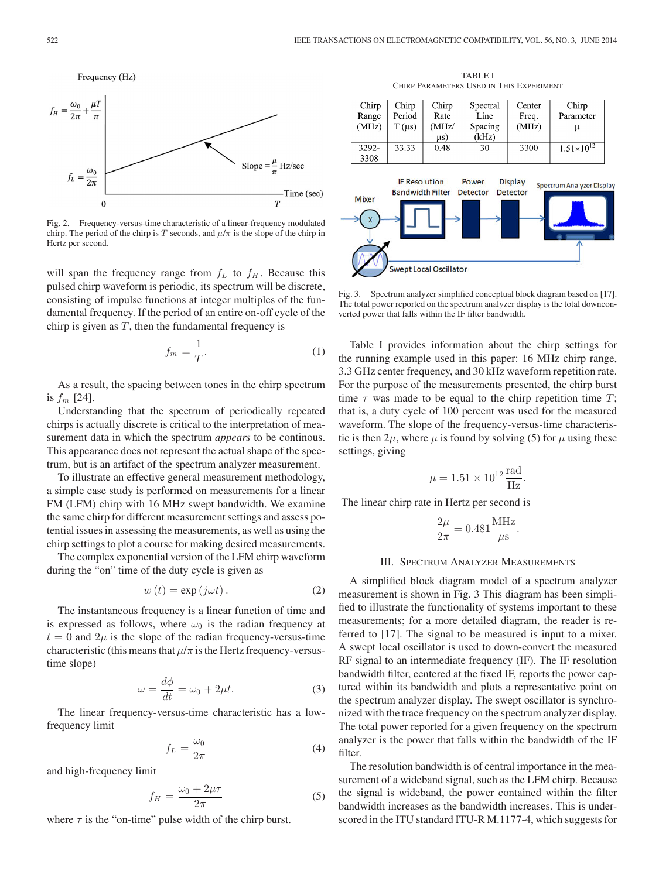

Fig. 2. Frequency-versus-time characteristic of a linear-frequency modulated chirp. The period of the chirp is T seconds, and  $\mu/\pi$  is the slope of the chirp in Hertz per second.

will span the frequency range from  $f<sub>L</sub>$  to  $f<sub>H</sub>$ . Because this pulsed chirp waveform is periodic, its spectrum will be discrete, consisting of impulse functions at integer multiples of the fundamental frequency. If the period of an entire on-off cycle of the chirp is given as  $T$ , then the fundamental frequency is

$$
f_m = \frac{1}{T}.\tag{1}
$$

As a result, the spacing between tones in the chirp spectrum is  $f_m$  [24].

Understanding that the spectrum of periodically repeated chirps is actually discrete is critical to the interpretation of measurement data in which the spectrum *appears* to be continous. This appearance does not represent the actual shape of the spectrum, but is an artifact of the spectrum analyzer measurement.

To illustrate an effective general measurement methodology, a simple case study is performed on measurements for a linear FM (LFM) chirp with 16 MHz swept bandwidth. We examine the same chirp for different measurement settings and assess potential issues in assessing the measurements, as well as using the chirp settings to plot a course for making desired measurements.

The complex exponential version of the LFM chirp waveform during the "on" time of the duty cycle is given as

$$
w(t) = \exp(j\omega t). \tag{2}
$$

The instantaneous frequency is a linear function of time and is expressed as follows, where  $\omega_0$  is the radian frequency at  $t = 0$  and  $2\mu$  is the slope of the radian frequency-versus-time characteristic (this means that  $\mu/\pi$  is the Hertz frequency-versustime slope)

$$
\omega = \frac{d\phi}{dt} = \omega_0 + 2\mu t. \tag{3}
$$

The linear frequency-versus-time characteristic has a lowfrequency limit

$$
f_L = \frac{\omega_0}{2\pi} \tag{4}
$$

and high-frequency limit

$$
f_H = \frac{\omega_0 + 2\mu\tau}{2\pi} \tag{5}
$$

where  $\tau$  is the "on-time" pulse width of the chirp burst.

TABLE I CHIRP PARAMETERS USED IN THIS EXPERIMENT



Fig. 3. Spectrum analyzer simplified conceptual block diagram based on [17]. The total power reported on the spectrum analyzer display is the total downconverted power that falls within the IF filter bandwidth.

Table I provides information about the chirp settings for the running example used in this paper: 16 MHz chirp range, 3.3 GHz center frequency, and 30 kHz waveform repetition rate. For the purpose of the measurements presented, the chirp burst time  $\tau$  was made to be equal to the chirp repetition time T; that is, a duty cycle of 100 percent was used for the measured waveform. The slope of the frequency-versus-time characteristic is then  $2\mu$ , where  $\mu$  is found by solving (5) for  $\mu$  using these settings, giving

$$
\mu = 1.51 \times 10^{12} \frac{\text{rad}}{\text{Hz}}.
$$

The linear chirp rate in Hertz per second is

$$
\frac{2\mu}{2\pi}=0.481\frac{\mathrm{MHz}}{\mu\mathrm{s}}.
$$

# III. SPECTRUM ANALYZER MEASUREMENTS

A simplified block diagram model of a spectrum analyzer measurement is shown in Fig. 3 This diagram has been simplified to illustrate the functionality of systems important to these measurements; for a more detailed diagram, the reader is referred to [17]. The signal to be measured is input to a mixer. A swept local oscillator is used to down-convert the measured RF signal to an intermediate frequency (IF). The IF resolution bandwidth filter, centered at the fixed IF, reports the power captured within its bandwidth and plots a representative point on the spectrum analyzer display. The swept oscillator is synchronized with the trace frequency on the spectrum analyzer display. The total power reported for a given frequency on the spectrum analyzer is the power that falls within the bandwidth of the IF filter.

The resolution bandwidth is of central importance in the measurement of a wideband signal, such as the LFM chirp. Because the signal is wideband, the power contained within the filter bandwidth increases as the bandwidth increases. This is underscored in the ITU standard ITU-R M.1177-4, which suggests for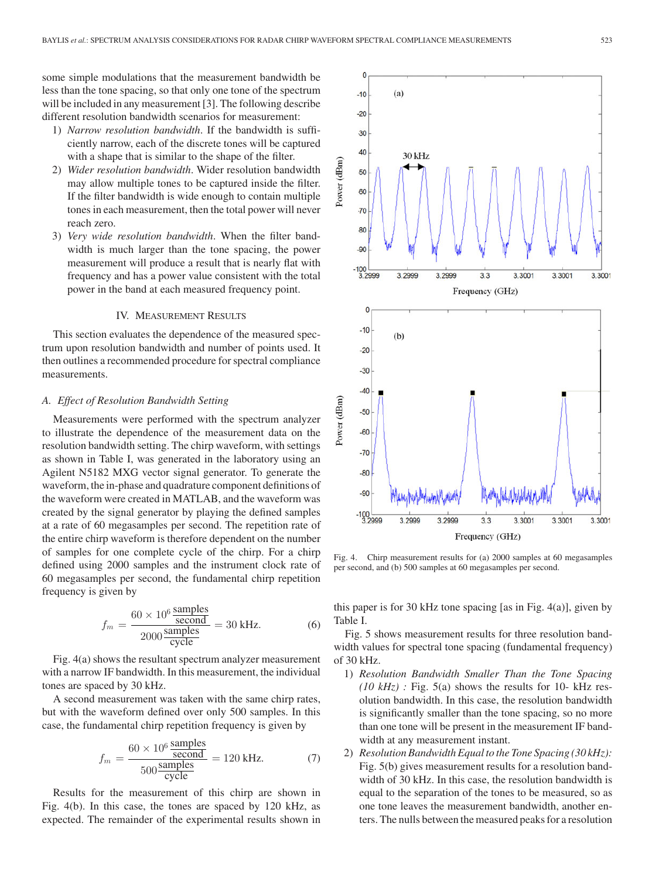some simple modulations that the measurement bandwidth be less than the tone spacing, so that only one tone of the spectrum will be included in any measurement [3]. The following describe different resolution bandwidth scenarios for measurement:

- 1) *Narrow resolution bandwidth*. If the bandwidth is sufficiently narrow, each of the discrete tones will be captured with a shape that is similar to the shape of the filter.
- 2) *Wider resolution bandwidth*. Wider resolution bandwidth may allow multiple tones to be captured inside the filter. If the filter bandwidth is wide enough to contain multiple tones in each measurement, then the total power will never reach zero.
- 3) *Very wide resolution bandwidth*. When the filter bandwidth is much larger than the tone spacing, the power measurement will produce a result that is nearly flat with frequency and has a power value consistent with the total power in the band at each measured frequency point.

## IV. MEASUREMENT RESULTS

This section evaluates the dependence of the measured spectrum upon resolution bandwidth and number of points used. It then outlines a recommended procedure for spectral compliance measurements.

# *A. Effect of Resolution Bandwidth Setting*

Measurements were performed with the spectrum analyzer to illustrate the dependence of the measurement data on the resolution bandwidth setting. The chirp waveform, with settings as shown in Table I, was generated in the laboratory using an Agilent N5182 MXG vector signal generator. To generate the waveform, the in-phase and quadrature component definitions of the waveform were created in MATLAB, and the waveform was created by the signal generator by playing the defined samples at a rate of 60 megasamples per second. The repetition rate of the entire chirp waveform is therefore dependent on the number of samples for one complete cycle of the chirp. For a chirp defined using 2000 samples and the instrument clock rate of 60 megasamples per second, the fundamental chirp repetition frequency is given by

$$
f_m = \frac{60 \times 10^6 \frac{\text{samples}}{\text{second}}}{2000 \frac{\text{samples}}{\text{cycle}}} = 30 \text{ kHz.}
$$
 (6)

Fig. 4(a) shows the resultant spectrum analyzer measurement with a narrow IF bandwidth. In this measurement, the individual tones are spaced by 30 kHz.

A second measurement was taken with the same chirp rates, but with the waveform defined over only 500 samples. In this case, the fundamental chirp repetition frequency is given by

$$
f_m = \frac{60 \times 10^6 \frac{\text{samples}}{\text{second}}}{500 \frac{\text{samples}}{\text{cycle}}} = 120 \text{ kHz.}
$$
 (7)

Results for the measurement of this chirp are shown in Fig. 4(b). In this case, the tones are spaced by 120 kHz, as expected. The remainder of the experimental results shown in



Fig. 4. Chirp measurement results for (a) 2000 samples at 60 megasamples per second, and (b) 500 samples at 60 megasamples per second.

this paper is for 30 kHz tone spacing [as in Fig. 4(a)], given by Table I.

Fig. 5 shows measurement results for three resolution bandwidth values for spectral tone spacing (fundamental frequency) of 30 kHz.

- 1) *Resolution Bandwidth Smaller Than the Tone Spacing (10 kHz) :* Fig. 5(a) shows the results for 10- kHz resolution bandwidth. In this case, the resolution bandwidth is significantly smaller than the tone spacing, so no more than one tone will be present in the measurement IF bandwidth at any measurement instant.
- 2) *Resolution Bandwidth Equal to the Tone Spacing (30 kHz):* Fig. 5(b) gives measurement results for a resolution bandwidth of 30 kHz. In this case, the resolution bandwidth is equal to the separation of the tones to be measured, so as one tone leaves the measurement bandwidth, another enters. The nulls between the measured peaks for a resolution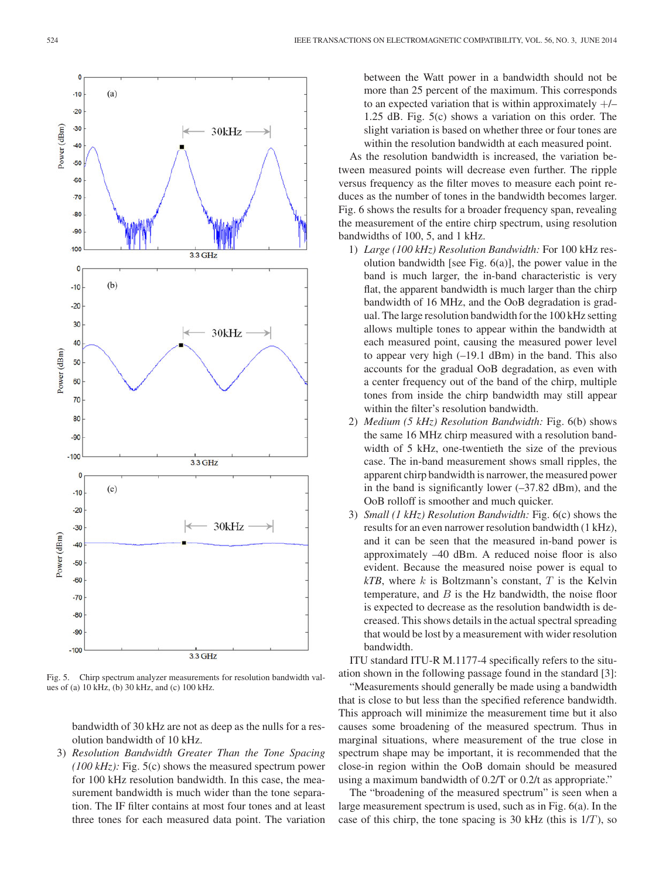

Fig. 5. Chirp spectrum analyzer measurements for resolution bandwidth values of (a) 10 kHz, (b) 30 kHz, and (c) 100 kHz.

bandwidth of 30 kHz are not as deep as the nulls for a resolution bandwidth of 10 kHz.

3) *Resolution Bandwidth Greater Than the Tone Spacing (100 kHz):* Fig. 5(c) shows the measured spectrum power for 100 kHz resolution bandwidth. In this case, the measurement bandwidth is much wider than the tone separation. The IF filter contains at most four tones and at least three tones for each measured data point. The variation between the Watt power in a bandwidth should not be more than 25 percent of the maximum. This corresponds to an expected variation that is within approximately  $+/-$ 1.25 dB. Fig. 5(c) shows a variation on this order. The slight variation is based on whether three or four tones are within the resolution bandwidth at each measured point.

As the resolution bandwidth is increased, the variation between measured points will decrease even further. The ripple versus frequency as the filter moves to measure each point reduces as the number of tones in the bandwidth becomes larger. Fig. 6 shows the results for a broader frequency span, revealing the measurement of the entire chirp spectrum, using resolution bandwidths of 100, 5, and 1 kHz.

- 1) *Large (100 kHz) Resolution Bandwidth:* For 100 kHz resolution bandwidth [see Fig. 6(a)], the power value in the band is much larger, the in-band characteristic is very flat, the apparent bandwidth is much larger than the chirp bandwidth of 16 MHz, and the OoB degradation is gradual. The large resolution bandwidth for the 100 kHz setting allows multiple tones to appear within the bandwidth at each measured point, causing the measured power level to appear very high (–19.1 dBm) in the band. This also accounts for the gradual OoB degradation, as even with a center frequency out of the band of the chirp, multiple tones from inside the chirp bandwidth may still appear within the filter's resolution bandwidth.
- 2) *Medium (5 kHz) Resolution Bandwidth:* Fig. 6(b) shows the same 16 MHz chirp measured with a resolution bandwidth of 5 kHz, one-twentieth the size of the previous case. The in-band measurement shows small ripples, the apparent chirp bandwidth is narrower, the measured power in the band is significantly lower  $(-37.82 \text{ dBm})$ , and the OoB rolloff is smoother and much quicker.
- 3) *Small (1 kHz) Resolution Bandwidth:* Fig. 6(c) shows the results for an even narrower resolution bandwidth (1 kHz), and it can be seen that the measured in-band power is approximately –40 dBm. A reduced noise floor is also evident. Because the measured noise power is equal to  $kTB$ , where k is Boltzmann's constant, T is the Kelvin temperature, and  $B$  is the Hz bandwidth, the noise floor is expected to decrease as the resolution bandwidth is decreased. This shows details in the actual spectral spreading that would be lost by a measurement with wider resolution bandwidth.

ITU standard ITU-R M.1177-4 specifically refers to the situation shown in the following passage found in the standard [3]:

"Measurements should generally be made using a bandwidth that is close to but less than the specified reference bandwidth. This approach will minimize the measurement time but it also causes some broadening of the measured spectrum. Thus in marginal situations, where measurement of the true close in spectrum shape may be important, it is recommended that the close-in region within the OoB domain should be measured using a maximum bandwidth of 0.2/T or 0.2/t as appropriate."

The "broadening of the measured spectrum" is seen when a large measurement spectrum is used, such as in Fig. 6(a). In the case of this chirp, the tone spacing is 30 kHz (this is  $1/T$ ), so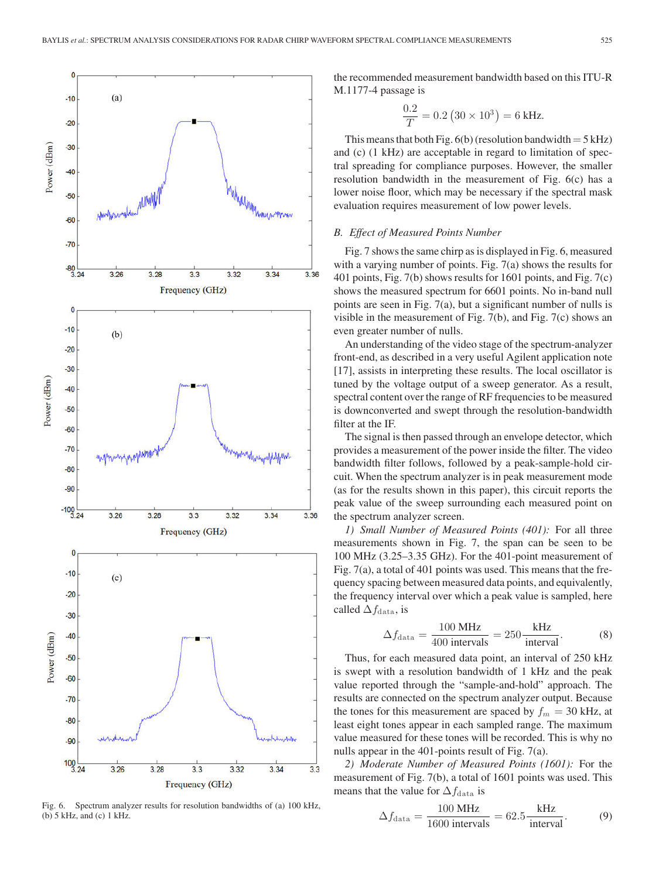

Fig. 6. Spectrum analyzer results for resolution bandwidths of (a) 100 kHz, (b) 5 kHz, and (c) 1 kHz.

the recommended measurement bandwidth based on this ITU-R M.1177-4 passage is

$$
\frac{0.2}{T} = 0.2 (30 \times 10^3) = 6 \text{ kHz}.
$$

This means that both Fig.  $6(b)$  (resolution bandwidth = 5 kHz) and (c) (1 kHz) are acceptable in regard to limitation of spectral spreading for compliance purposes. However, the smaller resolution bandwidth in the measurement of Fig. 6(c) has a lower noise floor, which may be necessary if the spectral mask evaluation requires measurement of low power levels.

#### *B. Effect of Measured Points Number*

Fig. 7 shows the same chirp as is displayed in Fig. 6, measured with a varying number of points. Fig. 7(a) shows the results for 401 points, Fig. 7(b) shows results for 1601 points, and Fig. 7(c) shows the measured spectrum for 6601 points. No in-band null points are seen in Fig. 7(a), but a significant number of nulls is visible in the measurement of Fig. 7(b), and Fig. 7(c) shows an even greater number of nulls.

An understanding of the video stage of the spectrum-analyzer front-end, as described in a very useful Agilent application note [17], assists in interpreting these results. The local oscillator is tuned by the voltage output of a sweep generator. As a result, spectral content over the range of RF frequencies to be measured is downconverted and swept through the resolution-bandwidth filter at the IF.

The signal is then passed through an envelope detector, which provides a measurement of the power inside the filter. The video bandwidth filter follows, followed by a peak-sample-hold circuit. When the spectrum analyzer is in peak measurement mode (as for the results shown in this paper), this circuit reports the peak value of the sweep surrounding each measured point on the spectrum analyzer screen.

*1) Small Number of Measured Points (401):* For all three measurements shown in Fig. 7, the span can be seen to be 100 MHz (3.25–3.35 GHz). For the 401-point measurement of Fig. 7(a), a total of 401 points was used. This means that the frequency spacing between measured data points, and equivalently, the frequency interval over which a peak value is sampled, here called  $\Delta f_{\text{data}}$ , is

$$
\Delta f_{\text{data}} = \frac{100 \text{ MHz}}{400 \text{ intervals}} = 250 \frac{\text{kHz}}{\text{interval}}.
$$
 (8)

Thus, for each measured data point, an interval of 250 kHz is swept with a resolution bandwidth of 1 kHz and the peak value reported through the "sample-and-hold" approach. The results are connected on the spectrum analyzer output. Because the tones for this measurement are spaced by  $f_m = 30$  kHz, at least eight tones appear in each sampled range. The maximum value measured for these tones will be recorded. This is why no nulls appear in the 401-points result of Fig. 7(a).

*2) Moderate Number of Measured Points (1601):* For the measurement of Fig. 7(b), a total of 1601 points was used. This means that the value for  $\Delta f_{\text{data}}$  is

$$
\Delta f_{\text{data}} = \frac{100 \text{ MHz}}{1600 \text{ intervals}} = 62.5 \frac{\text{kHz}}{\text{interval}}.
$$
 (9)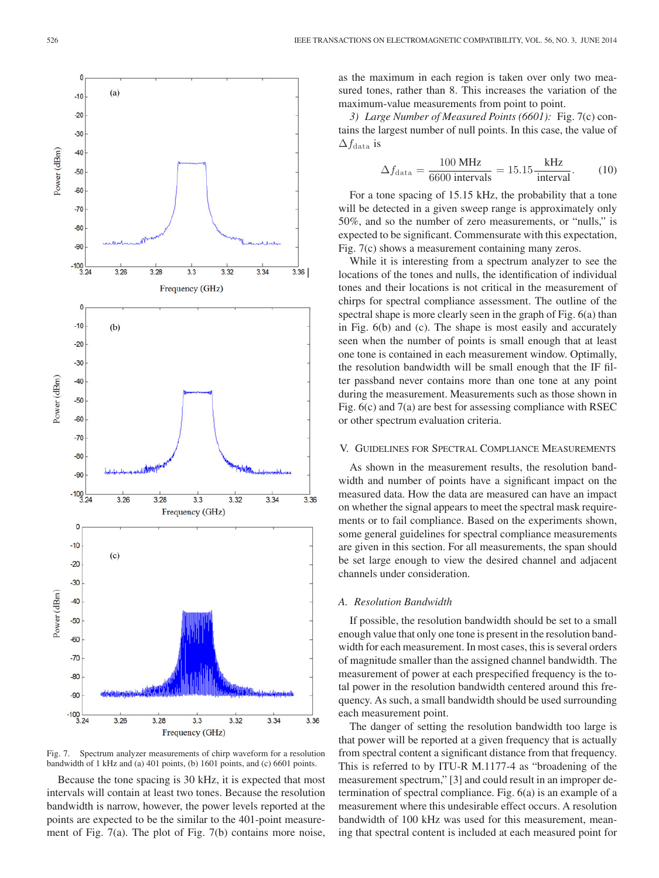

Fig. 7. Spectrum analyzer measurements of chirp waveform for a resolution bandwidth of 1 kHz and (a) 401 points, (b) 1601 points, and (c) 6601 points.

Because the tone spacing is 30 kHz, it is expected that most intervals will contain at least two tones. Because the resolution bandwidth is narrow, however, the power levels reported at the points are expected to be the similar to the 401-point measurement of Fig. 7(a). The plot of Fig. 7(b) contains more noise,

as the maximum in each region is taken over only two measured tones, rather than 8. This increases the variation of the maximum-value measurements from point to point.

*3) Large Number of Measured Points (6601):* Fig. 7(c) contains the largest number of null points. In this case, the value of  $\Delta f_{\text{data}}$  is

$$
\Delta f_{\text{data}} = \frac{100 \text{ MHz}}{6600 \text{ intervals}} = 15.15 \frac{\text{kHz}}{\text{interval}}.
$$
 (10)

For a tone spacing of 15.15 kHz, the probability that a tone will be detected in a given sweep range is approximately only 50%, and so the number of zero measurements, or "nulls," is expected to be significant. Commensurate with this expectation, Fig. 7(c) shows a measurement containing many zeros.

While it is interesting from a spectrum analyzer to see the locations of the tones and nulls, the identification of individual tones and their locations is not critical in the measurement of chirps for spectral compliance assessment. The outline of the spectral shape is more clearly seen in the graph of Fig. 6(a) than in Fig. 6(b) and (c). The shape is most easily and accurately seen when the number of points is small enough that at least one tone is contained in each measurement window. Optimally, the resolution bandwidth will be small enough that the IF filter passband never contains more than one tone at any point during the measurement. Measurements such as those shown in Fig. 6(c) and 7(a) are best for assessing compliance with RSEC or other spectrum evaluation criteria.

# V. GUIDELINES FOR SPECTRAL COMPLIANCE MEASUREMENTS

As shown in the measurement results, the resolution bandwidth and number of points have a significant impact on the measured data. How the data are measured can have an impact on whether the signal appears to meet the spectral mask requirements or to fail compliance. Based on the experiments shown, some general guidelines for spectral compliance measurements are given in this section. For all measurements, the span should be set large enough to view the desired channel and adjacent channels under consideration.

## *A. Resolution Bandwidth*

If possible, the resolution bandwidth should be set to a small enough value that only one tone is present in the resolution bandwidth for each measurement. In most cases, this is several orders of magnitude smaller than the assigned channel bandwidth. The measurement of power at each prespecified frequency is the total power in the resolution bandwidth centered around this frequency. As such, a small bandwidth should be used surrounding each measurement point.

The danger of setting the resolution bandwidth too large is that power will be reported at a given frequency that is actually from spectral content a significant distance from that frequency. This is referred to by ITU-R M.1177-4 as "broadening of the measurement spectrum," [3] and could result in an improper determination of spectral compliance. Fig. 6(a) is an example of a measurement where this undesirable effect occurs. A resolution bandwidth of 100 kHz was used for this measurement, meaning that spectral content is included at each measured point for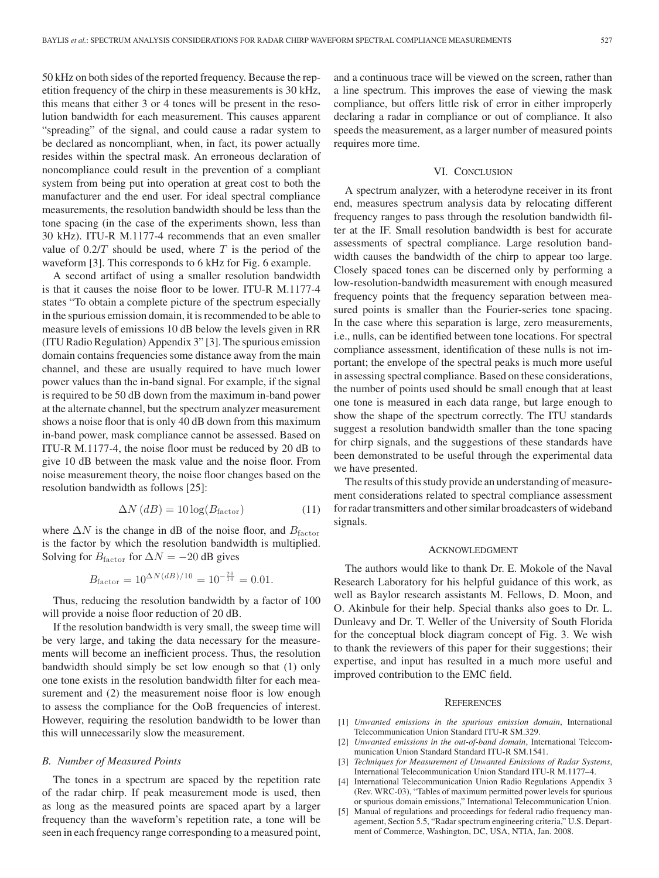50 kHz on both sides of the reported frequency. Because the repetition frequency of the chirp in these measurements is 30 kHz, this means that either 3 or 4 tones will be present in the resolution bandwidth for each measurement. This causes apparent "spreading" of the signal, and could cause a radar system to be declared as noncompliant, when, in fact, its power actually resides within the spectral mask. An erroneous declaration of noncompliance could result in the prevention of a compliant system from being put into operation at great cost to both the manufacturer and the end user. For ideal spectral compliance measurements, the resolution bandwidth should be less than the tone spacing (in the case of the experiments shown, less than 30 kHz). ITU-R M.1177-4 recommends that an even smaller value of  $0.2/T$  should be used, where T is the period of the waveform [3]. This corresponds to 6 kHz for Fig. 6 example.

A second artifact of using a smaller resolution bandwidth is that it causes the noise floor to be lower. ITU-R M.1177-4 states "To obtain a complete picture of the spectrum especially in the spurious emission domain, it is recommended to be able to measure levels of emissions 10 dB below the levels given in RR (ITU Radio Regulation) Appendix 3" [3]. The spurious emission domain contains frequencies some distance away from the main channel, and these are usually required to have much lower power values than the in-band signal. For example, if the signal is required to be 50 dB down from the maximum in-band power at the alternate channel, but the spectrum analyzer measurement shows a noise floor that is only 40 dB down from this maximum in-band power, mask compliance cannot be assessed. Based on ITU-R M.1177-4, the noise floor must be reduced by 20 dB to give 10 dB between the mask value and the noise floor. From noise measurement theory, the noise floor changes based on the resolution bandwidth as follows [25]:

$$
\Delta N \left( dB \right) = 10 \log(B_{\text{factor}}) \tag{11}
$$

where  $\Delta N$  is the change in dB of the noise floor, and  $B_{\text{factor}}$ is the factor by which the resolution bandwidth is multiplied. Solving for  $B_{\text{factor}}$  for  $\Delta N = -20$  dB gives

$$
B_{\text{factor}} = 10^{\Delta N (dB)/10} = 10^{-\frac{20}{10}} = 0.01.
$$

Thus, reducing the resolution bandwidth by a factor of 100 will provide a noise floor reduction of 20 dB.

If the resolution bandwidth is very small, the sweep time will be very large, and taking the data necessary for the measurements will become an inefficient process. Thus, the resolution bandwidth should simply be set low enough so that (1) only one tone exists in the resolution bandwidth filter for each measurement and  $(2)$  the measurement noise floor is low enough to assess the compliance for the OoB frequencies of interest. However, requiring the resolution bandwidth to be lower than this will unnecessarily slow the measurement.

## *B. Number of Measured Points*

The tones in a spectrum are spaced by the repetition rate of the radar chirp. If peak measurement mode is used, then as long as the measured points are spaced apart by a larger frequency than the waveform's repetition rate, a tone will be seen in each frequency range corresponding to a measured point, and a continuous trace will be viewed on the screen, rather than a line spectrum. This improves the ease of viewing the mask compliance, but offers little risk of error in either improperly declaring a radar in compliance or out of compliance. It also speeds the measurement, as a larger number of measured points requires more time.

### VI. CONCLUSION

A spectrum analyzer, with a heterodyne receiver in its front end, measures spectrum analysis data by relocating different frequency ranges to pass through the resolution bandwidth filter at the IF. Small resolution bandwidth is best for accurate assessments of spectral compliance. Large resolution bandwidth causes the bandwidth of the chirp to appear too large. Closely spaced tones can be discerned only by performing a low-resolution-bandwidth measurement with enough measured frequency points that the frequency separation between measured points is smaller than the Fourier-series tone spacing. In the case where this separation is large, zero measurements, i.e., nulls, can be identified between tone locations. For spectral compliance assessment, identification of these nulls is not important; the envelope of the spectral peaks is much more useful in assessing spectral compliance. Based on these considerations, the number of points used should be small enough that at least one tone is measured in each data range, but large enough to show the shape of the spectrum correctly. The ITU standards suggest a resolution bandwidth smaller than the tone spacing for chirp signals, and the suggestions of these standards have been demonstrated to be useful through the experimental data we have presented.

The results of this study provide an understanding of measurement considerations related to spectral compliance assessment for radar transmitters and other similar broadcasters of wideband signals.

#### ACKNOWLEDGMENT

The authors would like to thank Dr. E. Mokole of the Naval Research Laboratory for his helpful guidance of this work, as well as Baylor research assistants M. Fellows, D. Moon, and O. Akinbule for their help. Special thanks also goes to Dr. L. Dunleavy and Dr. T. Weller of the University of South Florida for the conceptual block diagram concept of Fig. 3. We wish to thank the reviewers of this paper for their suggestions; their expertise, and input has resulted in a much more useful and improved contribution to the EMC field.

#### **REFERENCES**

- [1] *Unwanted emissions in the spurious emission domain*, International Telecommunication Union Standard ITU-R SM.329.
- [2] *Unwanted emissions in the out-of-band domain*, International Telecommunication Union Standard Standard ITU-R SM.1541.
- [3] *Techniques for Measurement of Unwanted Emissions of Radar Systems*, International Telecommunication Union Standard ITU-R M.1177–4.
- [4] International Telecommunication Union Radio Regulations Appendix 3 (Rev. WRC-03), "Tables of maximum permitted power levels for spurious or spurious domain emissions," International Telecommunication Union.
- [5] Manual of regulations and proceedings for federal radio frequency management, Section 5.5, "Radar spectrum engineering criteria," U.S. Department of Commerce, Washington, DC, USA, NTIA, Jan. 2008.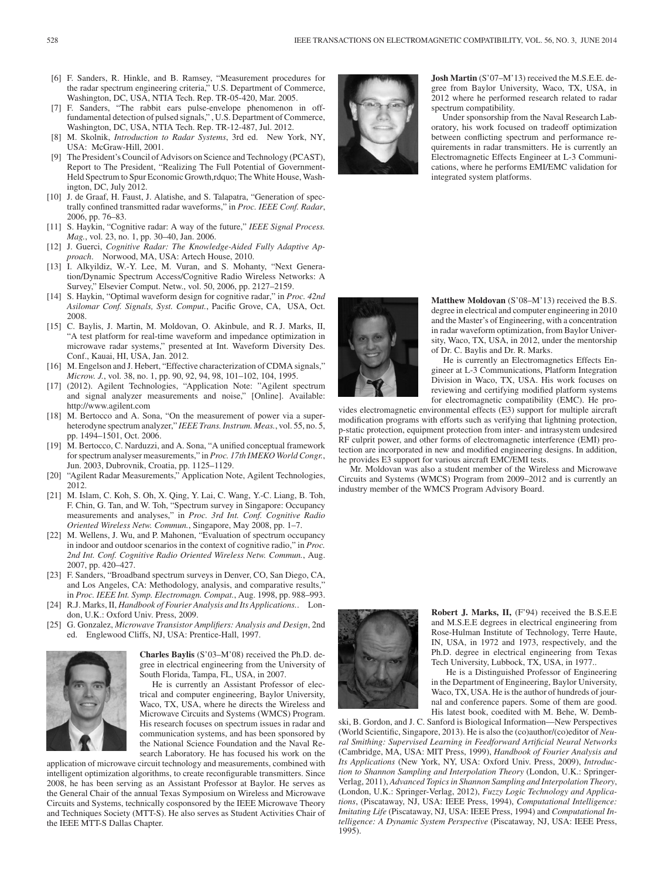- [6] F. Sanders, R. Hinkle, and B. Ramsey, "Measurement procedures for the radar spectrum engineering criteria," U.S. Department of Commerce, Washington, DC, USA, NTIA Tech. Rep. TR-05-420, Mar. 2005.
- [7] F. Sanders, "The rabbit ears pulse-envelope phenomenon in offfundamental detection of pulsed signals," , U.S. Department of Commerce, Washington, DC, USA, NTIA Tech. Rep. TR-12-487, Jul. 2012.
- [8] M. Skolnik, *Introduction to Radar Systems*, 3rd ed. New York, NY, USA: McGraw-Hill, 2001.
- The President's Council of Advisors on Science and Technology (PCAST), Report to The President, "Realizing The Full Potential of Government-Held Spectrum to Spur Economic Growth,rdquo; The White House, Washington, DC, July 2012.
- [10] J. de Graaf, H. Faust, J. Alatishe, and S. Talapatra, "Generation of spectrally confined transmitted radar waveforms," in *Proc. IEEE Conf. Radar*, 2006, pp. 76–83.
- [11] S. Haykin, "Cognitive radar: A way of the future," *IEEE Signal Process. Mag.*, vol. 23, no. 1, pp. 30–40, Jan. 2006.
- [12] J. Guerci, *Cognitive Radar: The Knowledge-Aided Fully Adaptive Approach*. Norwood, MA, USA: Artech House, 2010.
- [13] I. Alkyildiz, W.-Y. Lee, M. Vuran, and S. Mohanty, "Next Generation/Dynamic Spectrum Access/Cognitive Radio Wireless Networks: A Survey," Elsevier Comput. Netw., vol. 50, 2006, pp. 2127–2159.
- [14] S. Haykin, "Optimal waveform design for cognitive radar," in *Proc. 42nd Asilomar Conf. Signals, Syst. Comput.*, Pacific Grove, CA, USA, Oct. 2008.
- [15] C. Baylis, J. Martin, M. Moldovan, O. Akinbule, and R. J. Marks, II, "A test platform for real-time waveform and impedance optimization in microwave radar systems," presented at Int. Waveform Diversity Des. Conf., Kauai, HI, USA, Jan. 2012.
- [16] M. Engelson and J. Hebert, "Effective characterization of CDMA signals." *Microw. J.*, vol. 38, no. 1, pp. 90, 92, 94, 98, 101–102, 104, 1995.
- [17] (2012). Agilent Technologies, "Application Note: "Agilent spectrum and signal analyzer measurements and noise," [Online]. Available: http://www.agilent.com
- [18] M. Bertocco and A. Sona, "On the measurement of power via a superheterodyne spectrum analyzer," *IEEE Trans. Instrum. Meas.*, vol. 55, no. 5, pp. 1494–1501, Oct. 2006.
- [19] M. Bertocco, C. Narduzzi, and A. Sona, "A unified conceptual framework for spectrum analyser measurements," in *Proc. 17th IMEKO World Congr.*, Jun. 2003, Dubrovnik, Croatia, pp. 1125–1129.
- [20] "Agilent Radar Measurements," Application Note, Agilent Technologies, 2012.
- [21] M. Islam, C. Koh, S. Oh, X. Qing, Y. Lai, C. Wang, Y.-C. Liang, B. Toh, F. Chin, G. Tan, and W. Toh, "Spectrum survey in Singapore: Occupancy measurements and analyses," in *Proc. 3rd Int. Conf. Cognitive Radio Oriented Wireless Netw. Commun.*, Singapore, May 2008, pp. 1–7.
- [22] M. Wellens, J. Wu, and P. Mahonen, "Evaluation of spectrum occupancy in indoor and outdoor scenarios in the context of cognitive radio," in *Proc. 2nd Int. Conf. Cognitive Radio Oriented Wireless Netw. Commun.*, Aug. 2007, pp. 420–427.
- [23] F. Sanders, "Broadband spectrum surveys in Denver, CO, San Diego, CA, and Los Angeles, CA: Methodology, analysis, and comparative results," in *Proc. IEEE Int. Symp. Electromagn. Compat.*, Aug. 1998, pp. 988–993.
- [24] R.J. Marks, II, *Handbook of Fourier Analysis and Its Applications.*. London, U.K.: Oxford Univ. Press, 2009.
- [25] G. Gonzalez, *Microwave Transistor Amplifiers: Analysis and Design*, 2nd ed. Englewood Cliffs, NJ, USA: Prentice-Hall, 1997.



**Charles Baylis** (S'03–M'08) received the Ph.D. degree in electrical engineering from the University of South Florida, Tampa, FL, USA, in 2007.

He is currently an Assistant Professor of electrical and computer engineering, Baylor University, Waco, TX, USA, where he directs the Wireless and Microwave Circuits and Systems (WMCS) Program. His research focuses on spectrum issues in radar and communication systems, and has been sponsored by the National Science Foundation and the Naval Research Laboratory. He has focused his work on the

application of microwave circuit technology and measurements, combined with intelligent optimization algorithms, to create reconfigurable transmitters. Since 2008, he has been serving as an Assistant Professor at Baylor. He serves as the General Chair of the annual Texas Symposium on Wireless and Microwave Circuits and Systems, technically cosponsored by the IEEE Microwave Theory and Techniques Society (MTT-S). He also serves as Student Activities Chair of the IEEE MTT-S Dallas Chapter.



**Josh Martin** (S'07–M'13) received the M.S.E.E. degree from Baylor University, Waco, TX, USA, in 2012 where he performed research related to radar spectrum compatibility.

Under sponsorship from the Naval Research Laboratory, his work focused on tradeoff optimization between conflicting spectrum and performance requirements in radar transmitters. He is currently an Electromagnetic Effects Engineer at L-3 Communications, where he performs EMI/EMC validation for integrated system platforms.



**Matthew Moldovan** (S'08–M'13) received the B.S. degree in electrical and computer engineering in 2010 and the Master's of Engineering, with a concentration in radar waveform optimization, from Baylor University, Waco, TX, USA, in 2012, under the mentorship of Dr. C. Baylis and Dr. R. Marks.

He is currently an Electromagnetics Effects Engineer at L-3 Communications, Platform Integration Division in Waco, TX, USA. His work focuses on reviewing and certifying modified platform systems for electromagnetic compatibility (EMC). He pro-

vides electromagnetic environmental effects (E3) support for multiple aircraft modification programs with efforts such as verifying that lightning protection, p-static protection, equipment protection from inter- and intrasystem undesired RF culprit power, and other forms of electromagnetic interference (EMI) protection are incorporated in new and modified engineering designs. In addition, he provides E3 support for various aircraft EMC/EMI tests.

Mr. Moldovan was also a student member of the Wireless and Microwave Circuits and Systems (WMCS) Program from 2009–2012 and is currently an industry member of the WMCS Program Advisory Board.



**Robert J. Marks, II,** (F'94) received the B.S.E.E and M.S.E.E degrees in electrical engineering from Rose-Hulman Institute of Technology, Terre Haute, IN, USA, in 1972 and 1973, respectively, and the Ph.D. degree in electrical engineering from Texas Tech University, Lubbock, TX, USA, in 1977..

He is a Distinguished Professor of Engineering in the Department of Engineering, Baylor University, Waco, TX, USA. He is the author of hundreds of journal and conference papers. Some of them are good. His latest book, coedited with M. Behe, W. Demb-

ski, B. Gordon, and J. C. Sanford is Biological Information—New Perspectives (World Scientific, Singapore, 2013). He is also the (co)author/(co)editor of *Neural Smithing: Supervised Learning in Feedforward Artificial Neural Networks* (Cambridge, MA, USA: MIT Press, 1999), *Handbook of Fourier Analysis and Its Applications* (New York, NY, USA: Oxford Univ. Press, 2009), *Introduction to Shannon Sampling and Interpolation Theory* (London, U.K.: Springer-Verlag, 2011), *Advanced Topics in Shannon Sampling and Interpolation Theory*, (London, U.K.: Springer-Verlag, 2012), *Fuzzy Logic Technology and Applications*, (Piscataway, NJ, USA: IEEE Press, 1994), *Computational Intelligence: Imitating Life* (Piscataway, NJ, USA: IEEE Press, 1994) and *Computational Intelligence: A Dynamic System Perspective* (Piscataway, NJ, USA: IEEE Press, 1995).